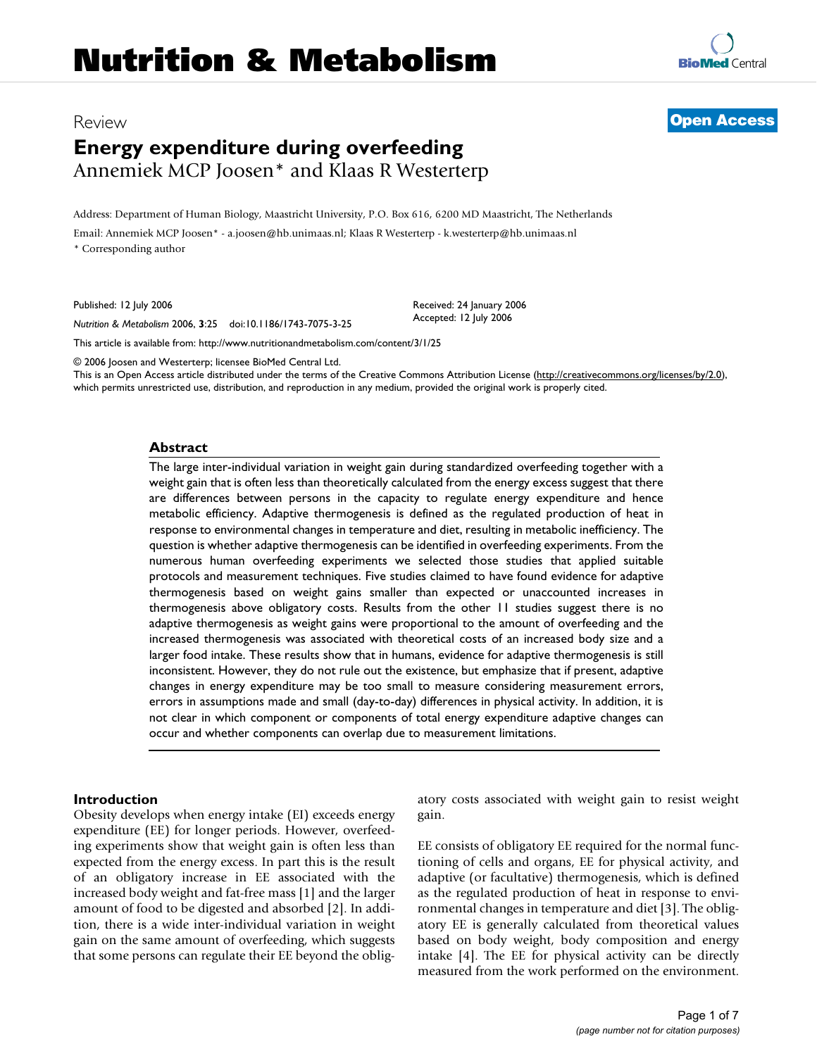## Review **[Open Access](http://www.biomedcentral.com/info/about/charter/)**

# **Energy expenditure during overfeeding** Annemiek MCP Joosen\* and Klaas R Westerterp

Address: Department of Human Biology, Maastricht University, P.O. Box 616, 6200 MD Maastricht, The Netherlands

Email: Annemiek MCP Joosen\* - a.joosen@hb.unimaas.nl; Klaas R Westerterp - k.westerterp@hb.unimaas.nl \* Corresponding author

Published: 12 July 2006

*Nutrition & Metabolism* 2006, **3**:25 doi:10.1186/1743-7075-3-25

[This article is available from: http://www.nutritionandmetabolism.com/content/3/1/25](http://www.nutritionandmetabolism.com/content/3/1/25)

© 2006 Joosen and Westerterp; licensee BioMed Central Ltd.

This is an Open Access article distributed under the terms of the Creative Commons Attribution License [\(http://creativecommons.org/licenses/by/2.0\)](http://creativecommons.org/licenses/by/2.0), which permits unrestricted use, distribution, and reproduction in any medium, provided the original work is properly cited.

Received: 24 January 2006 Accepted: 12 July 2006

#### **Abstract**

The large inter-individual variation in weight gain during standardized overfeeding together with a weight gain that is often less than theoretically calculated from the energy excess suggest that there are differences between persons in the capacity to regulate energy expenditure and hence metabolic efficiency. Adaptive thermogenesis is defined as the regulated production of heat in response to environmental changes in temperature and diet, resulting in metabolic inefficiency. The question is whether adaptive thermogenesis can be identified in overfeeding experiments. From the numerous human overfeeding experiments we selected those studies that applied suitable protocols and measurement techniques. Five studies claimed to have found evidence for adaptive thermogenesis based on weight gains smaller than expected or unaccounted increases in thermogenesis above obligatory costs. Results from the other 11 studies suggest there is no adaptive thermogenesis as weight gains were proportional to the amount of overfeeding and the increased thermogenesis was associated with theoretical costs of an increased body size and a larger food intake. These results show that in humans, evidence for adaptive thermogenesis is still inconsistent. However, they do not rule out the existence, but emphasize that if present, adaptive changes in energy expenditure may be too small to measure considering measurement errors, errors in assumptions made and small (day-to-day) differences in physical activity. In addition, it is not clear in which component or components of total energy expenditure adaptive changes can occur and whether components can overlap due to measurement limitations.

#### **Introduction**

Obesity develops when energy intake (EI) exceeds energy expenditure (EE) for longer periods. However, overfeeding experiments show that weight gain is often less than expected from the energy excess. In part this is the result of an obligatory increase in EE associated with the increased body weight and fat-free mass [1] and the larger amount of food to be digested and absorbed [2]. In addition, there is a wide inter-individual variation in weight gain on the same amount of overfeeding, which suggests that some persons can regulate their EE beyond the obligatory costs associated with weight gain to resist weight gain.

EE consists of obligatory EE required for the normal functioning of cells and organs, EE for physical activity, and adaptive (or facultative) thermogenesis, which is defined as the regulated production of heat in response to environmental changes in temperature and diet [3]. The obligatory EE is generally calculated from theoretical values based on body weight, body composition and energy intake [4]. The EE for physical activity can be directly measured from the work performed on the environment.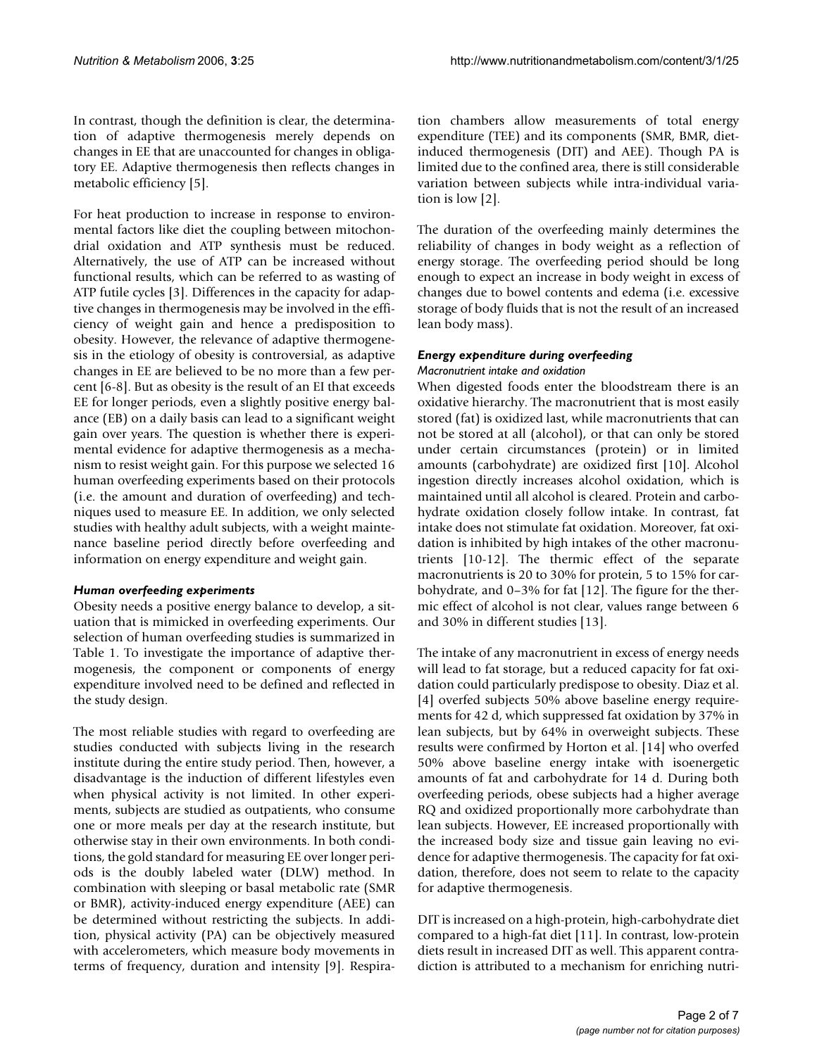In contrast, though the definition is clear, the determination of adaptive thermogenesis merely depends on changes in EE that are unaccounted for changes in obligatory EE. Adaptive thermogenesis then reflects changes in metabolic efficiency [5].

For heat production to increase in response to environmental factors like diet the coupling between mitochondrial oxidation and ATP synthesis must be reduced. Alternatively, the use of ATP can be increased without functional results, which can be referred to as wasting of ATP futile cycles [3]. Differences in the capacity for adaptive changes in thermogenesis may be involved in the efficiency of weight gain and hence a predisposition to obesity. However, the relevance of adaptive thermogenesis in the etiology of obesity is controversial, as adaptive changes in EE are believed to be no more than a few percent [6-8]. But as obesity is the result of an EI that exceeds EE for longer periods, even a slightly positive energy balance (EB) on a daily basis can lead to a significant weight gain over years. The question is whether there is experimental evidence for adaptive thermogenesis as a mechanism to resist weight gain. For this purpose we selected 16 human overfeeding experiments based on their protocols (i.e. the amount and duration of overfeeding) and techniques used to measure EE. In addition, we only selected studies with healthy adult subjects, with a weight maintenance baseline period directly before overfeeding and information on energy expenditure and weight gain.

#### *Human overfeeding experiments*

Obesity needs a positive energy balance to develop, a situation that is mimicked in overfeeding experiments. Our selection of human overfeeding studies is summarized in Table 1. To investigate the importance of adaptive thermogenesis, the component or components of energy expenditure involved need to be defined and reflected in the study design.

The most reliable studies with regard to overfeeding are studies conducted with subjects living in the research institute during the entire study period. Then, however, a disadvantage is the induction of different lifestyles even when physical activity is not limited. In other experiments, subjects are studied as outpatients, who consume one or more meals per day at the research institute, but otherwise stay in their own environments. In both conditions, the gold standard for measuring EE over longer periods is the doubly labeled water (DLW) method. In combination with sleeping or basal metabolic rate (SMR or BMR), activity-induced energy expenditure (AEE) can be determined without restricting the subjects. In addition, physical activity (PA) can be objectively measured with accelerometers, which measure body movements in terms of frequency, duration and intensity [9]. Respiration chambers allow measurements of total energy expenditure (TEE) and its components (SMR, BMR, dietinduced thermogenesis (DIT) and AEE). Though PA is limited due to the confined area, there is still considerable variation between subjects while intra-individual variation is low [2].

The duration of the overfeeding mainly determines the reliability of changes in body weight as a reflection of energy storage. The overfeeding period should be long enough to expect an increase in body weight in excess of changes due to bowel contents and edema (i.e. excessive storage of body fluids that is not the result of an increased lean body mass).

## *Energy expenditure during overfeeding*

## *Macronutrient intake and oxidation*

When digested foods enter the bloodstream there is an oxidative hierarchy. The macronutrient that is most easily stored (fat) is oxidized last, while macronutrients that can not be stored at all (alcohol), or that can only be stored under certain circumstances (protein) or in limited amounts (carbohydrate) are oxidized first [10]. Alcohol ingestion directly increases alcohol oxidation, which is maintained until all alcohol is cleared. Protein and carbohydrate oxidation closely follow intake. In contrast, fat intake does not stimulate fat oxidation. Moreover, fat oxidation is inhibited by high intakes of the other macronutrients [10-12]. The thermic effect of the separate macronutrients is 20 to 30% for protein, 5 to 15% for carbohydrate, and 0–3% for fat [12]. The figure for the thermic effect of alcohol is not clear, values range between 6 and 30% in different studies [13].

The intake of any macronutrient in excess of energy needs will lead to fat storage, but a reduced capacity for fat oxidation could particularly predispose to obesity. Diaz et al. [4] overfed subjects 50% above baseline energy requirements for 42 d, which suppressed fat oxidation by 37% in lean subjects, but by 64% in overweight subjects. These results were confirmed by Horton et al. [14] who overfed 50% above baseline energy intake with isoenergetic amounts of fat and carbohydrate for 14 d. During both overfeeding periods, obese subjects had a higher average RQ and oxidized proportionally more carbohydrate than lean subjects. However, EE increased proportionally with the increased body size and tissue gain leaving no evidence for adaptive thermogenesis. The capacity for fat oxidation, therefore, does not seem to relate to the capacity for adaptive thermogenesis.

DIT is increased on a high-protein, high-carbohydrate diet compared to a high-fat diet [11]. In contrast, low-protein diets result in increased DIT as well. This apparent contradiction is attributed to a mechanism for enriching nutri-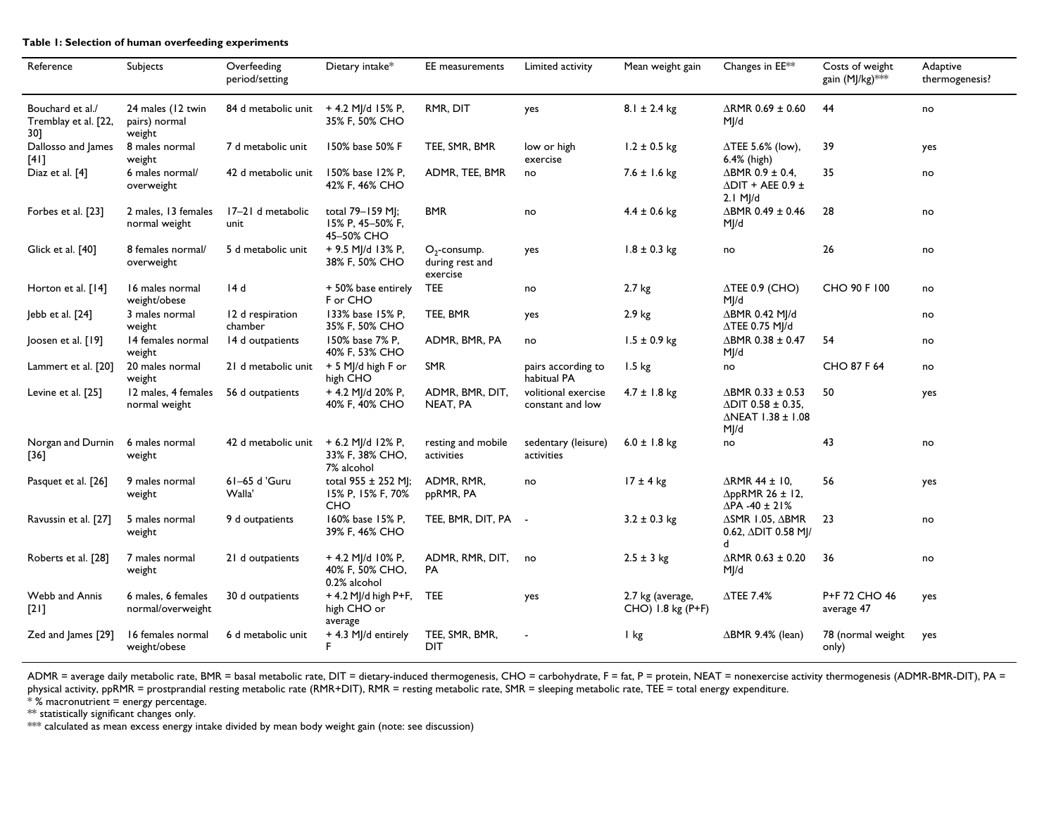#### **Table 1: Selection of human overfeeding experiments**

| Reference                                       | Subjects                                     | Overfeeding<br>period/setting | Dietary intake*                                      | EE measurements                                | Limited activity                        | Mean weight gain                           | Changes in EE <sup>**</sup>                                                                         | Costs of weight<br>gain (MJ/kg)*** | Adaptive<br>thermogenesis? |
|-------------------------------------------------|----------------------------------------------|-------------------------------|------------------------------------------------------|------------------------------------------------|-----------------------------------------|--------------------------------------------|-----------------------------------------------------------------------------------------------------|------------------------------------|----------------------------|
| Bouchard et al./<br>Tremblay et al. [22,<br>30] | 24 males (12 twin<br>pairs) normal<br>weight | 84 d metabolic unit           | + 4.2 MJ/d 15% P,<br>35% F, 50% CHO                  | RMR, DIT                                       | yes                                     | $8.1 \pm 2.4$ kg                           | $\triangle$ RMR 0.69 ± 0.60<br>MJ/d                                                                 | 44                                 | no                         |
| Dallosso and James<br>[4]                       | 8 males normal<br>weight                     | 7 d metabolic unit            | 150% base 50% F                                      | TEE, SMR, BMR                                  | low or high<br>exercise                 | $1.2 \pm 0.5$ kg                           | $\Delta$ TEE 5.6% (low),<br>6.4% (high)                                                             | 39                                 | yes                        |
| Diaz et al. [4]                                 | 6 males normal/<br>overweight                | 42 d metabolic unit           | 150% base 12% P.<br>42% F, 46% CHO                   | ADMR, TEE, BMR                                 | no                                      | $7.6 \pm 1.6$ kg                           | $\triangle$ BMR 0.9 ± 0.4,<br>$\Delta$ DIT + AEE 0.9 ±<br>$2.1$ MJ/d                                | 35                                 | no                         |
| Forbes et al. [23]                              | 2 males, 13 females<br>normal weight         | 17-21 d metabolic<br>unit     | total 79-159 MI;<br>15% P, 45-50% F,<br>45-50% CHO   | <b>BMR</b>                                     | no                                      | $4.4 \pm 0.6$ kg                           | $\triangle$ BMR 0.49 ± 0.46<br>MJ/d                                                                 | 28                                 | no                         |
| Glick et al. [40]                               | 8 females normal/<br>overweight              | 5 d metabolic unit            | + 9.5 MJ/d 13% P,<br>38% F, 50% CHO                  | $O_2$ -consump.<br>during rest and<br>exercise | yes                                     | $1.8 \pm 0.3$ kg                           | no                                                                                                  | 26                                 | no                         |
| Horton et al. [14]                              | 16 males normal<br>weight/obese              | 14 d                          | + 50% base entirely<br>F or CHO                      | TEE.                                           | no                                      | 2.7 kg                                     | $\triangle$ TEE 0.9 (CHO)<br>MJ/d                                                                   | CHO 90 F 100                       | no                         |
| Jebb et al. [24]                                | 3 males normal<br>weight                     | 12 d respiration<br>chamber   | 133% base 15% P,<br>35% F, 50% CHO                   | TEE, BMR                                       | yes                                     | 2.9 <sub>kg</sub>                          | $\Delta$ BMR 0.42 MJ/d<br>$\Delta$ TEE 0.75 MJ/d                                                    |                                    | no                         |
| Joosen et al. $[19]$                            | 14 females normal<br>weight                  | 14 d outpatients              | 150% base 7% P,<br>40% F, 53% CHO                    | ADMR, BMR, PA                                  | no                                      | $1.5 \pm 0.9$ kg                           | $\triangle$ BMR 0.38 ± 0.47<br>MJ/d                                                                 | 54                                 | no                         |
| Lammert et al. [20]                             | 20 males normal<br>weight                    | 21 d metabolic unit           | + 5 MJ/d high F or<br>high CHO                       | <b>SMR</b>                                     | pairs according to<br>habitual PA       | $1.5$ kg                                   | no                                                                                                  | CHO 87 F 64                        | no                         |
| Levine et al. [25]                              | 12 males, 4 females<br>normal weight         | 56 d outpatients              | + 4.2 MJ/d 20% P,<br>40% F, 40% CHO                  | ADMR, BMR, DIT,<br>NEAT, PA                    | volitional exercise<br>constant and low | $4.7 \pm 1.8$ kg                           | $\triangle$ BMR 0.33 ± 0.53<br>$\triangle$ DIT 0.58 ± 0.35,<br>$\triangle$ NEAT 1.38 ± 1.08<br>MJ/d | 50                                 | yes                        |
| Norgan and Durnin<br>[36]                       | 6 males normal<br>weight                     | 42 d metabolic unit           | + 6.2 MJ/d 12% P,<br>33% F, 38% CHO,<br>7% alcohol   | resting and mobile<br>activities               | sedentary (leisure)<br>activities       | $6.0 \pm 1.8$ kg                           | no                                                                                                  | 43                                 | no                         |
| Pasquet et al. [26]                             | 9 males normal<br>weight                     | 61-65 d 'Guru<br>Walla'       | total 955 ± 252 M ;<br>15% P, 15% F, 70%<br>CHO      | ADMR, RMR,<br>ppRMR, PA                        | no                                      | $17 \pm 4$ kg                              | $\triangle$ RMR 44 ± 10,<br>$\Delta$ ppRMR 26 ± 12,<br>$\Delta$ PA -40 ± 21%                        | 56                                 | yes                        |
| Ravussin et al. [27]                            | 5 males normal<br>weight                     | 9 d outpatients               | 160% base 15% P,<br>39% F, 46% CHO                   | TEE, BMR, DIT, PA -                            |                                         | $3.2 \pm 0.3$ kg                           | $\Delta$ SMR 1.05, $\Delta$ BMR<br>$0.62$ , $\Delta$ DIT 0.58 MJ/<br>d                              | 23                                 | no                         |
| Roberts et al. [28]                             | 7 males normal<br>weight                     | 21 d outpatients              | + 4.2 MJ/d 10% P,<br>40% F, 50% CHO,<br>0.2% alcohol | ADMR, RMR, DIT,<br>PA                          | no                                      | $2.5 \pm 3$ kg                             | $\triangle$ RMR 0.63 ± 0.20<br>MJ/d                                                                 | 36                                 | no                         |
| Webb and Annis<br>$[21]$                        | 6 males, 6 females<br>normal/overweight      | 30 d outpatients              | + 4.2 MJ/d high P+F,<br>high CHO or<br>average       | <b>TEE</b>                                     | yes                                     | 2.7 kg (average,<br>$CHO$ ) 1.8 kg $(P+F)$ | $\triangle$ TEE 7.4%                                                                                | P+F 72 CHO 46<br>average 47        | yes                        |
| Zed and James [29]                              | 16 females normal<br>weight/obese            | 6 d metabolic unit            | + 4.3 MJ/d entirely<br>F.                            | TEE, SMR, BMR,<br>DIT                          |                                         | I kg                                       | $\triangle$ BMR 9.4% (lean)                                                                         | 78 (normal weight<br>only)         | yes                        |

ADMR = average daily metabolic rate, BMR = basal metabolic rate, DIT = dietary-induced thermogenesis, CHO = carbohydrate, F = fat, P = protein, NEAT = nonexercise activity thermogenesis (ADMR-BMR-DIT), PA = physical activity, ppRMR = prostprandial resting metabolic rate (RMR+DIT), RMR = resting metabolic rate, SMR = sleeping metabolic rate, TEE = total energy expenditure.

 $\text{*}$  % macronutrient = energy percentage.

 $**$  statistically significant changes only.

\*\*\* calculated as mean excess energy intake divided by mean body weight gain (note: see discussion)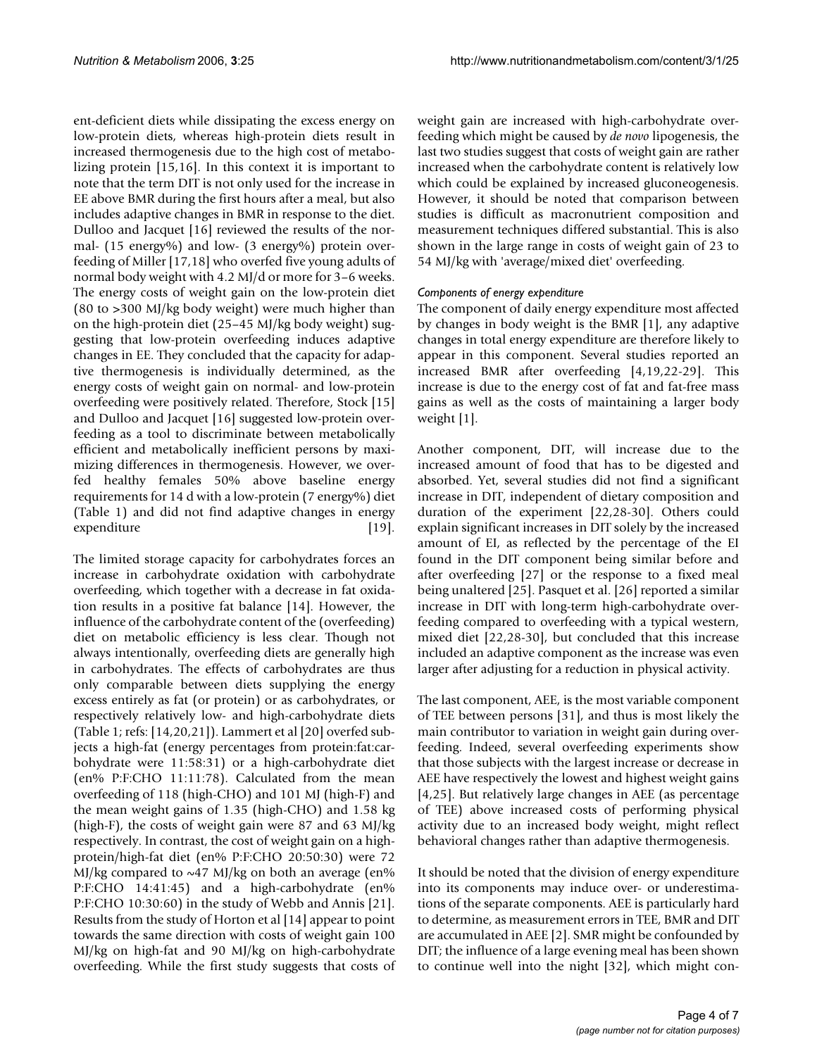ent-deficient diets while dissipating the excess energy on low-protein diets, whereas high-protein diets result in increased thermogenesis due to the high cost of metabolizing protein [15,16]. In this context it is important to note that the term DIT is not only used for the increase in EE above BMR during the first hours after a meal, but also includes adaptive changes in BMR in response to the diet. Dulloo and Jacquet [16] reviewed the results of the normal- (15 energy%) and low- (3 energy%) protein overfeeding of Miller [17,18] who overfed five young adults of normal body weight with 4.2 MJ/d or more for 3–6 weeks. The energy costs of weight gain on the low-protein diet (80 to >300 MJ/kg body weight) were much higher than on the high-protein diet (25–45 MJ/kg body weight) suggesting that low-protein overfeeding induces adaptive changes in EE. They concluded that the capacity for adaptive thermogenesis is individually determined, as the energy costs of weight gain on normal- and low-protein overfeeding were positively related. Therefore, Stock [15] and Dulloo and Jacquet [16] suggested low-protein overfeeding as a tool to discriminate between metabolically efficient and metabolically inefficient persons by maximizing differences in thermogenesis. However, we overfed healthy females 50% above baseline energy requirements for 14 d with a low-protein (7 energy%) diet (Table 1) and did not find adaptive changes in energy expenditure [19].

The limited storage capacity for carbohydrates forces an increase in carbohydrate oxidation with carbohydrate overfeeding, which together with a decrease in fat oxidation results in a positive fat balance [14]. However, the influence of the carbohydrate content of the (overfeeding) diet on metabolic efficiency is less clear. Though not always intentionally, overfeeding diets are generally high in carbohydrates. The effects of carbohydrates are thus only comparable between diets supplying the energy excess entirely as fat (or protein) or as carbohydrates, or respectively relatively low- and high-carbohydrate diets (Table 1; refs: [14,20,21]). Lammert et al [20] overfed subjects a high-fat (energy percentages from protein:fat:carbohydrate were 11:58:31) or a high-carbohydrate diet (en% P:F:CHO 11:11:78). Calculated from the mean overfeeding of 118 (high-CHO) and 101 MJ (high-F) and the mean weight gains of 1.35 (high-CHO) and 1.58 kg (high-F), the costs of weight gain were 87 and 63 MJ/kg respectively. In contrast, the cost of weight gain on a highprotein/high-fat diet (en% P:F:CHO 20:50:30) were 72 MJ/kg compared to  $\sim$ 47 MJ/kg on both an average (en% P:F:CHO 14:41:45) and a high-carbohydrate (en% P:F:CHO 10:30:60) in the study of Webb and Annis [21]. Results from the study of Horton et al [14] appear to point towards the same direction with costs of weight gain 100 MJ/kg on high-fat and 90 MJ/kg on high-carbohydrate overfeeding. While the first study suggests that costs of weight gain are increased with high-carbohydrate overfeeding which might be caused by *de novo* lipogenesis, the last two studies suggest that costs of weight gain are rather increased when the carbohydrate content is relatively low which could be explained by increased gluconeogenesis. However, it should be noted that comparison between studies is difficult as macronutrient composition and measurement techniques differed substantial. This is also shown in the large range in costs of weight gain of 23 to 54 MJ/kg with 'average/mixed diet' overfeeding.

## *Components of energy expenditure*

The component of daily energy expenditure most affected by changes in body weight is the BMR [1], any adaptive changes in total energy expenditure are therefore likely to appear in this component. Several studies reported an increased BMR after overfeeding [4,19,22-29]. This increase is due to the energy cost of fat and fat-free mass gains as well as the costs of maintaining a larger body weight [1].

Another component, DIT, will increase due to the increased amount of food that has to be digested and absorbed. Yet, several studies did not find a significant increase in DIT, independent of dietary composition and duration of the experiment [22,28-30]. Others could explain significant increases in DIT solely by the increased amount of EI, as reflected by the percentage of the EI found in the DIT component being similar before and after overfeeding [27] or the response to a fixed meal being unaltered [25]. Pasquet et al. [26] reported a similar increase in DIT with long-term high-carbohydrate overfeeding compared to overfeeding with a typical western, mixed diet [22,28-30], but concluded that this increase included an adaptive component as the increase was even larger after adjusting for a reduction in physical activity.

The last component, AEE, is the most variable component of TEE between persons [31], and thus is most likely the main contributor to variation in weight gain during overfeeding. Indeed, several overfeeding experiments show that those subjects with the largest increase or decrease in AEE have respectively the lowest and highest weight gains [4,25]. But relatively large changes in AEE (as percentage of TEE) above increased costs of performing physical activity due to an increased body weight, might reflect behavioral changes rather than adaptive thermogenesis.

It should be noted that the division of energy expenditure into its components may induce over- or underestimations of the separate components. AEE is particularly hard to determine, as measurement errors in TEE, BMR and DIT are accumulated in AEE [2]. SMR might be confounded by DIT; the influence of a large evening meal has been shown to continue well into the night [32], which might con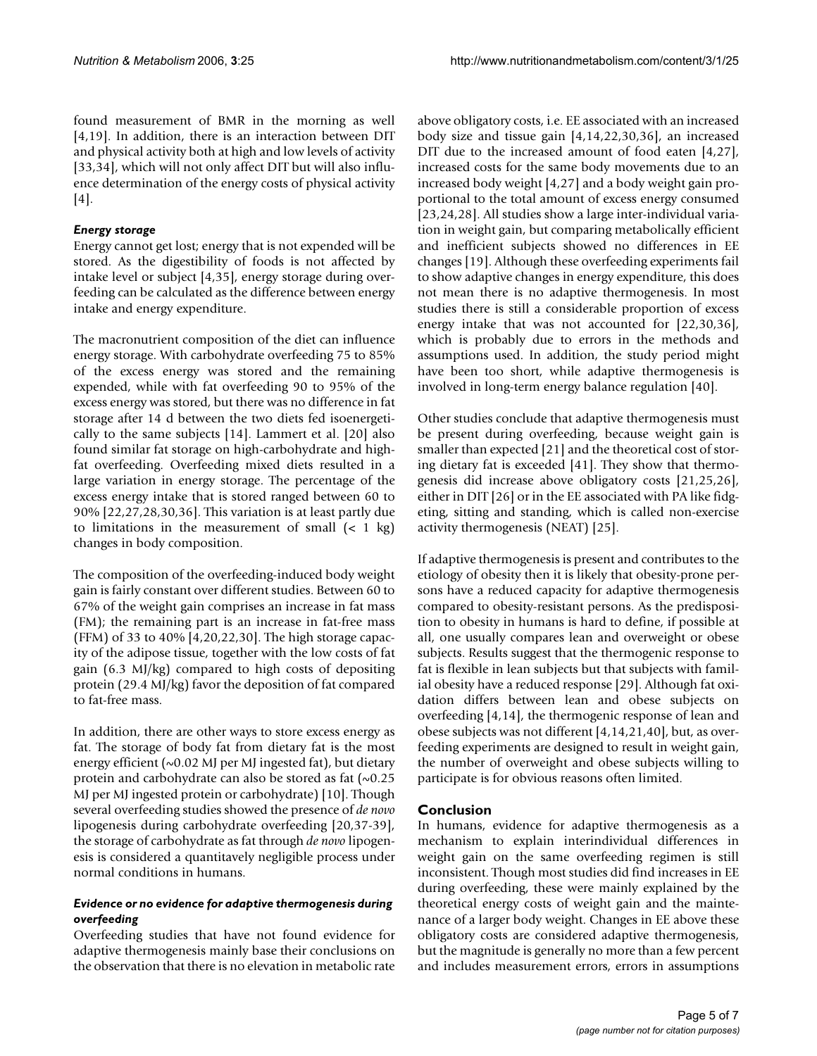found measurement of BMR in the morning as well [4,19]. In addition, there is an interaction between DIT and physical activity both at high and low levels of activity [33,34], which will not only affect DIT but will also influence determination of the energy costs of physical activity [4].

## *Energy storage*

Energy cannot get lost; energy that is not expended will be stored. As the digestibility of foods is not affected by intake level or subject [4,35], energy storage during overfeeding can be calculated as the difference between energy intake and energy expenditure.

The macronutrient composition of the diet can influence energy storage. With carbohydrate overfeeding 75 to 85% of the excess energy was stored and the remaining expended, while with fat overfeeding 90 to 95% of the excess energy was stored, but there was no difference in fat storage after 14 d between the two diets fed isoenergetically to the same subjects [14]. Lammert et al. [20] also found similar fat storage on high-carbohydrate and highfat overfeeding. Overfeeding mixed diets resulted in a large variation in energy storage. The percentage of the excess energy intake that is stored ranged between 60 to 90% [22,27,28,30,36]. This variation is at least partly due to limitations in the measurement of small  $\left($  < 1 kg) changes in body composition.

The composition of the overfeeding-induced body weight gain is fairly constant over different studies. Between 60 to 67% of the weight gain comprises an increase in fat mass (FM); the remaining part is an increase in fat-free mass (FFM) of 33 to 40% [4,20,22,30]. The high storage capacity of the adipose tissue, together with the low costs of fat gain (6.3 MJ/kg) compared to high costs of depositing protein (29.4 MJ/kg) favor the deposition of fat compared to fat-free mass.

In addition, there are other ways to store excess energy as fat. The storage of body fat from dietary fat is the most energy efficient (~0.02 MJ per MJ ingested fat), but dietary protein and carbohydrate can also be stored as fat  $(\sim 0.25)$ MJ per MJ ingested protein or carbohydrate) [10]. Though several overfeeding studies showed the presence of *de novo* lipogenesis during carbohydrate overfeeding [20,37-39], the storage of carbohydrate as fat through *de novo* lipogenesis is considered a quantitavely negligible process under normal conditions in humans.

## *Evidence or no evidence for adaptive thermogenesis during overfeeding*

Overfeeding studies that have not found evidence for adaptive thermogenesis mainly base their conclusions on the observation that there is no elevation in metabolic rate above obligatory costs, i.e. EE associated with an increased body size and tissue gain [4,14,22,30,36], an increased DIT due to the increased amount of food eaten [4,27], increased costs for the same body movements due to an increased body weight [4,27] and a body weight gain proportional to the total amount of excess energy consumed [23,24,28]. All studies show a large inter-individual variation in weight gain, but comparing metabolically efficient and inefficient subjects showed no differences in EE changes [19]. Although these overfeeding experiments fail to show adaptive changes in energy expenditure, this does not mean there is no adaptive thermogenesis. In most studies there is still a considerable proportion of excess energy intake that was not accounted for [22,30,36], which is probably due to errors in the methods and assumptions used. In addition, the study period might have been too short, while adaptive thermogenesis is involved in long-term energy balance regulation [40].

Other studies conclude that adaptive thermogenesis must be present during overfeeding, because weight gain is smaller than expected [21] and the theoretical cost of storing dietary fat is exceeded [41]. They show that thermogenesis did increase above obligatory costs [21,25,26], either in DIT [26] or in the EE associated with PA like fidgeting, sitting and standing, which is called non-exercise activity thermogenesis (NEAT) [25].

If adaptive thermogenesis is present and contributes to the etiology of obesity then it is likely that obesity-prone persons have a reduced capacity for adaptive thermogenesis compared to obesity-resistant persons. As the predisposition to obesity in humans is hard to define, if possible at all, one usually compares lean and overweight or obese subjects. Results suggest that the thermogenic response to fat is flexible in lean subjects but that subjects with familial obesity have a reduced response [29]. Although fat oxidation differs between lean and obese subjects on overfeeding [4,14], the thermogenic response of lean and obese subjects was not different [4,14,21,40], but, as overfeeding experiments are designed to result in weight gain, the number of overweight and obese subjects willing to participate is for obvious reasons often limited.

## **Conclusion**

In humans, evidence for adaptive thermogenesis as a mechanism to explain interindividual differences in weight gain on the same overfeeding regimen is still inconsistent. Though most studies did find increases in EE during overfeeding, these were mainly explained by the theoretical energy costs of weight gain and the maintenance of a larger body weight. Changes in EE above these obligatory costs are considered adaptive thermogenesis, but the magnitude is generally no more than a few percent and includes measurement errors, errors in assumptions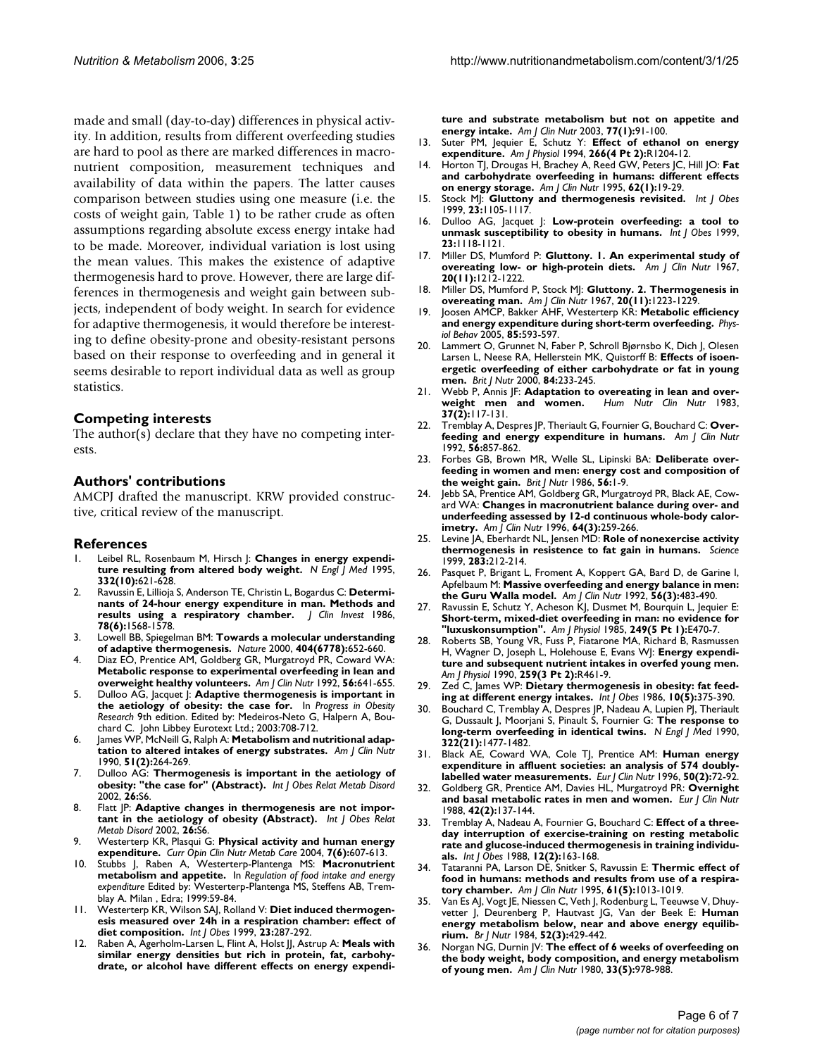made and small (day-to-day) differences in physical activity. In addition, results from different overfeeding studies are hard to pool as there are marked differences in macronutrient composition, measurement techniques and availability of data within the papers. The latter causes comparison between studies using one measure (i.e. the costs of weight gain, Table 1) to be rather crude as often assumptions regarding absolute excess energy intake had to be made. Moreover, individual variation is lost using the mean values. This makes the existence of adaptive thermogenesis hard to prove. However, there are large differences in thermogenesis and weight gain between subjects, independent of body weight. In search for evidence for adaptive thermogenesis, it would therefore be interesting to define obesity-prone and obesity-resistant persons based on their response to overfeeding and in general it seems desirable to report individual data as well as group statistics.

## **Competing interests**

The author(s) declare that they have no competing interests.

#### **Authors' contributions**

AMCPJ drafted the manuscript. KRW provided constructive, critical review of the manuscript.

#### **References**

- Leibel RL, Rosenbaum M, Hirsch J: [Changes in energy expendi](http://www.ncbi.nlm.nih.gov/entrez/query.fcgi?cmd=Retrieve&db=PubMed&dopt=Abstract&list_uids=7632212)**[ture resulting from altered body weight.](http://www.ncbi.nlm.nih.gov/entrez/query.fcgi?cmd=Retrieve&db=PubMed&dopt=Abstract&list_uids=7632212)** *N Engl J Med* 1995, **332(10):**621-628.
- 2. Ravussin E, Lillioja S, Anderson TE, Christin L, Bogardus C: **[Determi](http://www.ncbi.nlm.nih.gov/entrez/query.fcgi?cmd=Retrieve&db=PubMed&dopt=Abstract&list_uids=3782471)[nants of 24-hour energy expenditure in man. Methods and](http://www.ncbi.nlm.nih.gov/entrez/query.fcgi?cmd=Retrieve&db=PubMed&dopt=Abstract&list_uids=3782471) [results using a respiratory chamber.](http://www.ncbi.nlm.nih.gov/entrez/query.fcgi?cmd=Retrieve&db=PubMed&dopt=Abstract&list_uids=3782471)** *J Clin Invest* 1986, **78(6):**1568-1578.
- 3. Lowell BB, Spiegelman BM: **[Towards a molecular understanding](http://www.ncbi.nlm.nih.gov/entrez/query.fcgi?cmd=Retrieve&db=PubMed&dopt=Abstract&list_uids=10766252) [of adaptive thermogenesis.](http://www.ncbi.nlm.nih.gov/entrez/query.fcgi?cmd=Retrieve&db=PubMed&dopt=Abstract&list_uids=10766252)** *Nature* 2000, **404(6778):**652-660.
- Diaz EO, Prentice AM, Goldberg GR, Murgatroyd PR, Coward WA: **[Metabolic response to experimental overfeeding in lean and](http://www.ncbi.nlm.nih.gov/entrez/query.fcgi?cmd=Retrieve&db=PubMed&dopt=Abstract&list_uids=1414963) [overweight healthy volunteers.](http://www.ncbi.nlm.nih.gov/entrez/query.fcgi?cmd=Retrieve&db=PubMed&dopt=Abstract&list_uids=1414963)** *Am J Clin Nutr* 1992, **56:**641-655.
- 5. Dulloo AG, Jacquet J: **Adaptive thermogenesis is important in the aetiology of obesity: the case for.** In *Progress in Obesity Research* 9th edition. Edited by: Medeiros-Neto G, Halpern A, Bouchard C. John Libbey Eurotext Ltd.; 2003:708-712.
- 6. James WP, McNeill G, Ralph A: **[Metabolism and nutritional adap](http://www.ncbi.nlm.nih.gov/entrez/query.fcgi?cmd=Retrieve&db=PubMed&dopt=Abstract&list_uids=2305713)[tation to altered intakes of energy substrates.](http://www.ncbi.nlm.nih.gov/entrez/query.fcgi?cmd=Retrieve&db=PubMed&dopt=Abstract&list_uids=2305713)** *Am J Clin Nutr* 1990, **51(2):**264-269.
- 7. Dulloo AG: **Thermogenesis is important in the aetiology of obesity: "the case for" (Abstract).** *Int J Obes Relat Metab Disord* 2002, **26:**S6.
- 8. Flatt JP: **Adaptive changes in thermogenesis are not important in the aetiology of obesity (Abstract).** *Int J Obes Relat Metab Disord* 2002, **26:**S6.
- 9. Westerterp KR, Plasqui G: **[Physical activity and human energy](http://www.ncbi.nlm.nih.gov/entrez/query.fcgi?cmd=Retrieve&db=PubMed&dopt=Abstract&list_uids=15534427) [expenditure.](http://www.ncbi.nlm.nih.gov/entrez/query.fcgi?cmd=Retrieve&db=PubMed&dopt=Abstract&list_uids=15534427)** *Curr Opin Clin Nutr Metab Care* 2004, **7(6):**607-613.
- 10. Stubbs J, Raben A, Westerterp-Plantenga MS: **Macronutrient metabolism and appetite.** In *Regulation of food intake and energy expenditure* Edited by: Westerterp-Plantenga MS, Steffens AB, Tremblay A. Milan , Edra; 1999:59-84.
- 11. Westerterp KR, Wilson SAJ, Rolland V: **Diet induced thermogenesis measured over 24h in a respiration chamber: effect of diet composition.** *Int J Obes* 1999, **23:**287-292.
- 12. Raben A, Agerholm-Larsen L, Flint A, Holst JJ, Astrup A: **[Meals with](http://www.ncbi.nlm.nih.gov/entrez/query.fcgi?cmd=Retrieve&db=PubMed&dopt=Abstract&list_uids=12499328) similar energy densities but rich in protein, fat, carbohy[drate, or alcohol have different effects on energy expendi-](http://www.ncbi.nlm.nih.gov/entrez/query.fcgi?cmd=Retrieve&db=PubMed&dopt=Abstract&list_uids=12499328)**

**[ture and substrate metabolism but not on appetite and](http://www.ncbi.nlm.nih.gov/entrez/query.fcgi?cmd=Retrieve&db=PubMed&dopt=Abstract&list_uids=12499328) [energy intake.](http://www.ncbi.nlm.nih.gov/entrez/query.fcgi?cmd=Retrieve&db=PubMed&dopt=Abstract&list_uids=12499328)** *Am J Clin Nutr* 2003, **77(1):**91-100.

- 13. Suter PM, Jequier E, Schutz Y: **[Effect of ethanol on energy](http://www.ncbi.nlm.nih.gov/entrez/query.fcgi?cmd=Retrieve&db=PubMed&dopt=Abstract&list_uids=8184963) [expenditure.](http://www.ncbi.nlm.nih.gov/entrez/query.fcgi?cmd=Retrieve&db=PubMed&dopt=Abstract&list_uids=8184963)** *Am J Physiol* 1994, **266(4 Pt 2):**R1204-12.
- 14. Horton TJ, Drougas H, Brachey A, Reed GW, Peters JC, Hill JO: **[Fat](http://www.ncbi.nlm.nih.gov/entrez/query.fcgi?cmd=Retrieve&db=PubMed&dopt=Abstract&list_uids=7598063) [and carbohydrate overfeeding in humans: different effects](http://www.ncbi.nlm.nih.gov/entrez/query.fcgi?cmd=Retrieve&db=PubMed&dopt=Abstract&list_uids=7598063) [on energy storage.](http://www.ncbi.nlm.nih.gov/entrez/query.fcgi?cmd=Retrieve&db=PubMed&dopt=Abstract&list_uids=7598063)** *Am J Clin Nutr* 1995, **62(1):**19-29.
- 15. Stock MJ: **Gluttony and thermogenesis revisited.** *Int J Obes* 1999, **23:**1105-1117.
- 16. Dulloo AG, Jacquet J: **Low-protein overfeeding: a tool to unmask susceptibility to obesity in humans.** *Int J Obes* 1999, **23:**1118-1121.
- 17. Miller DS, Mumford P: **[Gluttony. 1. An experimental study of](http://www.ncbi.nlm.nih.gov/entrez/query.fcgi?cmd=Retrieve&db=PubMed&dopt=Abstract&list_uids=6057588) [overeating low- or high-protein diets.](http://www.ncbi.nlm.nih.gov/entrez/query.fcgi?cmd=Retrieve&db=PubMed&dopt=Abstract&list_uids=6057588)** *Am J Clin Nutr* 1967, **20(11):**1212-1222.
- 18. Miller DS, Mumford P, Stock MJ: **[Gluttony. 2. Thermogenesis in](http://www.ncbi.nlm.nih.gov/entrez/query.fcgi?cmd=Retrieve&db=PubMed&dopt=Abstract&list_uids=6057589) [overeating man.](http://www.ncbi.nlm.nih.gov/entrez/query.fcgi?cmd=Retrieve&db=PubMed&dopt=Abstract&list_uids=6057589)** *Am J Clin Nutr* 1967, **20(11):**1223-1229.
- 19. Joosen AMCP, Bakker AHF, Westerterp KR: **[Metabolic efficiency](http://www.ncbi.nlm.nih.gov/entrez/query.fcgi?cmd=Retrieve&db=PubMed&dopt=Abstract&list_uids=16039676) [and energy expenditure during short-term overfeeding.](http://www.ncbi.nlm.nih.gov/entrez/query.fcgi?cmd=Retrieve&db=PubMed&dopt=Abstract&list_uids=16039676)** *Physiol Behav* 2005, **85:**593-597.
- 20. Lammert O, Grunnet N, Faber P, Schroll Bjørnsbo K, Dich J, Olesen Larsen L, Neese RA, Hellerstein MK, Quistorff B: **[Effects of isoen](http://www.ncbi.nlm.nih.gov/entrez/query.fcgi?cmd=Retrieve&db=PubMed&dopt=Abstract&list_uids=11029975)[ergetic overfeeding of either carbohydrate or fat in young](http://www.ncbi.nlm.nih.gov/entrez/query.fcgi?cmd=Retrieve&db=PubMed&dopt=Abstract&list_uids=11029975) [men.](http://www.ncbi.nlm.nih.gov/entrez/query.fcgi?cmd=Retrieve&db=PubMed&dopt=Abstract&list_uids=11029975)** *Brit J Nutr* 2000, **84:**233-245.
- 21. Webb P, Annis JF: **[Adaptation to overeating in lean and over](http://www.ncbi.nlm.nih.gov/entrez/query.fcgi?cmd=Retrieve&db=PubMed&dopt=Abstract&list_uids=6575005)**[weight men and women.](http://www.ncbi.nlm.nih.gov/entrez/query.fcgi?cmd=Retrieve&db=PubMed&dopt=Abstract&list_uids=6575005) **37(2):**117-131.
- 22. Tremblay A, Despres JP, Theriault G, Fournier G, Bouchard C: **[Over](http://www.ncbi.nlm.nih.gov/entrez/query.fcgi?cmd=Retrieve&db=PubMed&dopt=Abstract&list_uids=1415004)[feeding and energy expenditure in humans.](http://www.ncbi.nlm.nih.gov/entrez/query.fcgi?cmd=Retrieve&db=PubMed&dopt=Abstract&list_uids=1415004)** *Am J Clin Nutr* 1992, **56:**857-862.
- 23. Forbes GB, Brown MR, Welle SL, Lipinski BA: **[Deliberate over](http://www.ncbi.nlm.nih.gov/entrez/query.fcgi?cmd=Retrieve&db=PubMed&dopt=Abstract&list_uids=3479191)[feeding in women and men: energy cost and composition of](http://www.ncbi.nlm.nih.gov/entrez/query.fcgi?cmd=Retrieve&db=PubMed&dopt=Abstract&list_uids=3479191) [the weight gain.](http://www.ncbi.nlm.nih.gov/entrez/query.fcgi?cmd=Retrieve&db=PubMed&dopt=Abstract&list_uids=3479191)** *Brit J Nutr* 1986, **56:**1-9.
- 24. Jebb SA, Prentice AM, Goldberg GR, Murgatroyd PR, Black AE, Coward WA: **[Changes in macronutrient balance during over- and](http://www.ncbi.nlm.nih.gov/entrez/query.fcgi?cmd=Retrieve&db=PubMed&dopt=Abstract&list_uids=8780332) [underfeeding assessed by 12-d continuous whole-body calor](http://www.ncbi.nlm.nih.gov/entrez/query.fcgi?cmd=Retrieve&db=PubMed&dopt=Abstract&list_uids=8780332)[imetry.](http://www.ncbi.nlm.nih.gov/entrez/query.fcgi?cmd=Retrieve&db=PubMed&dopt=Abstract&list_uids=8780332)** *Am J Clin Nutr* 1996, **64(3):**259-266.
- 25. Levine JA, Eberhardt NL, Jensen MD: **[Role of nonexercise activity](http://www.ncbi.nlm.nih.gov/entrez/query.fcgi?cmd=Retrieve&db=PubMed&dopt=Abstract&list_uids=9880251) [thermogenesis in resistence to fat gain in humans.](http://www.ncbi.nlm.nih.gov/entrez/query.fcgi?cmd=Retrieve&db=PubMed&dopt=Abstract&list_uids=9880251)** *Science* 1999, **283:**212-214.
- 26. Pasquet P, Brigant L, Froment A, Koppert GA, Bard D, de Garine I, Apfelbaum M: **[Massive overfeeding and energy balance in men:](http://www.ncbi.nlm.nih.gov/entrez/query.fcgi?cmd=Retrieve&db=PubMed&dopt=Abstract&list_uids=1503058) [the Guru Walla model.](http://www.ncbi.nlm.nih.gov/entrez/query.fcgi?cmd=Retrieve&db=PubMed&dopt=Abstract&list_uids=1503058)** *Am J Clin Nutr* 1992, **56(3):**483-490.
- 27. Ravussin E, Schutz Y, Acheson KJ, Dusmet M, Bourquin L, Jequier E: **[Short-term, mixed-diet overfeeding in man: no evidence for](http://www.ncbi.nlm.nih.gov/entrez/query.fcgi?cmd=Retrieve&db=PubMed&dopt=Abstract&list_uids=4061637) ["luxuskonsumption".](http://www.ncbi.nlm.nih.gov/entrez/query.fcgi?cmd=Retrieve&db=PubMed&dopt=Abstract&list_uids=4061637)** *Am J Physiol* 1985, **249(5 Pt 1):**E470-7.
- 28. Roberts SB, Young VR, Fuss P, Fiatarone MA, Richard B, Rasmussen H, Wagner D, Joseph L, Holehouse E, Evans WJ: **[Energy expendi](http://www.ncbi.nlm.nih.gov/entrez/query.fcgi?cmd=Retrieve&db=PubMed&dopt=Abstract&list_uids=2396704)[ture and subsequent nutrient intakes in overfed young men.](http://www.ncbi.nlm.nih.gov/entrez/query.fcgi?cmd=Retrieve&db=PubMed&dopt=Abstract&list_uids=2396704)** *Am J Physiol* 1990, **259(3 Pt 2):**R461-9.
- 29. Zed C, James WP: **[Dietary thermogenesis in obesity: fat feed](http://www.ncbi.nlm.nih.gov/entrez/query.fcgi?cmd=Retrieve&db=PubMed&dopt=Abstract&list_uids=3781723)[ing at different energy intakes.](http://www.ncbi.nlm.nih.gov/entrez/query.fcgi?cmd=Retrieve&db=PubMed&dopt=Abstract&list_uids=3781723)** *Int J Obes* 1986, **10(5):**375-390.
- 30. Bouchard C, Tremblay A, Despres JP, Nadeau A, Lupien PJ, Theriault G, Dussault J, Moorjani S, Pinault S, Fournier G: **[The response to](http://www.ncbi.nlm.nih.gov/entrez/query.fcgi?cmd=Retrieve&db=PubMed&dopt=Abstract&list_uids=2336074) [long-term overfeeding in identical twins.](http://www.ncbi.nlm.nih.gov/entrez/query.fcgi?cmd=Retrieve&db=PubMed&dopt=Abstract&list_uids=2336074)** *N Engl J Med* 1990, **322(21):**1477-1482.
- 31. Black AE, Coward WA, Cole TJ, Prentice AM: **[Human energy](http://www.ncbi.nlm.nih.gov/entrez/query.fcgi?cmd=Retrieve&db=PubMed&dopt=Abstract&list_uids=8641250) [expenditure in affluent societies: an analysis of 574 doubly](http://www.ncbi.nlm.nih.gov/entrez/query.fcgi?cmd=Retrieve&db=PubMed&dopt=Abstract&list_uids=8641250)[labelled water measurements.](http://www.ncbi.nlm.nih.gov/entrez/query.fcgi?cmd=Retrieve&db=PubMed&dopt=Abstract&list_uids=8641250)** *Eur J Clin Nutr* 1996, **50(2):**72-92.
- 32. Goldberg GR, Prentice AM, Davies HL, Murgatroyd PR: **[Overnight](http://www.ncbi.nlm.nih.gov/entrez/query.fcgi?cmd=Retrieve&db=PubMed&dopt=Abstract&list_uids=3378547) [and basal metabolic rates in men and women.](http://www.ncbi.nlm.nih.gov/entrez/query.fcgi?cmd=Retrieve&db=PubMed&dopt=Abstract&list_uids=3378547)** *Eur J Clin Nutr* 1988, **42(2):**137-144.
- 33. Tremblay A, Nadeau A, Fournier G, Bouchard C: **[Effect of a three](http://www.ncbi.nlm.nih.gov/entrez/query.fcgi?cmd=Retrieve&db=PubMed&dopt=Abstract&list_uids=3290133)[day interruption of exercise-training on resting metabolic](http://www.ncbi.nlm.nih.gov/entrez/query.fcgi?cmd=Retrieve&db=PubMed&dopt=Abstract&list_uids=3290133) rate and glucose-induced thermogenesis in training individu[als.](http://www.ncbi.nlm.nih.gov/entrez/query.fcgi?cmd=Retrieve&db=PubMed&dopt=Abstract&list_uids=3290133)** *Int J Obes* 1988, **12(2):**163-168.
- 34. Tataranni PA, Larson DE, Snitker S, Ravussin E: **[Thermic effect of](http://www.ncbi.nlm.nih.gov/entrez/query.fcgi?cmd=Retrieve&db=PubMed&dopt=Abstract&list_uids=7733021) [food in humans: methods and results from use of a respira](http://www.ncbi.nlm.nih.gov/entrez/query.fcgi?cmd=Retrieve&db=PubMed&dopt=Abstract&list_uids=7733021)[tory chamber.](http://www.ncbi.nlm.nih.gov/entrez/query.fcgi?cmd=Retrieve&db=PubMed&dopt=Abstract&list_uids=7733021)** *Am J Clin Nutr* 1995, **61(5):**1013-1019.
- 35. Van Es AJ, Vogt JE, Niessen C, Veth J, Rodenburg L, Teeuwse V, Dhuyvetter J, Deurenberg P, Hautvast JG, Van der Beek E: **[Human](http://www.ncbi.nlm.nih.gov/entrez/query.fcgi?cmd=Retrieve&db=PubMed&dopt=Abstract&list_uids=6498141) [energy metabolism below, near and above energy equilib](http://www.ncbi.nlm.nih.gov/entrez/query.fcgi?cmd=Retrieve&db=PubMed&dopt=Abstract&list_uids=6498141)[rium.](http://www.ncbi.nlm.nih.gov/entrez/query.fcgi?cmd=Retrieve&db=PubMed&dopt=Abstract&list_uids=6498141)** *Br J Nutr* 1984, **52(3):**429-442.
- 36. Norgan NG, Durnin JV: **[The effect of 6 weeks of overfeeding on](http://www.ncbi.nlm.nih.gov/entrez/query.fcgi?cmd=Retrieve&db=PubMed&dopt=Abstract&list_uids=7369169) [the body weight, body composition, and energy metabolism](http://www.ncbi.nlm.nih.gov/entrez/query.fcgi?cmd=Retrieve&db=PubMed&dopt=Abstract&list_uids=7369169) [of young men.](http://www.ncbi.nlm.nih.gov/entrez/query.fcgi?cmd=Retrieve&db=PubMed&dopt=Abstract&list_uids=7369169)** *Am J Clin Nutr* 1980, **33(5):**978-988.